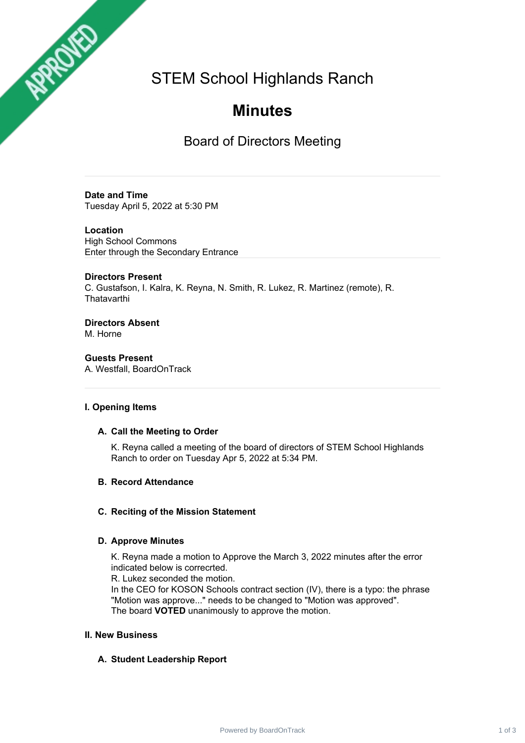STEM School Highlands Ranch

# **Minutes**

Board of Directors Meeting

## **Date and Time** Tuesday April 5, 2022 at 5:30 PM

**Location** High School Commons Enter through the Secondary Entrance

# **Directors Present**

APPROVED

C. Gustafson, I. Kalra, K. Reyna, N. Smith, R. Lukez, R. Martinez (remote), R. **Thatavarthi** 

**Directors Absent** M. Horne

**Guests Present** A. Westfall, BoardOnTrack

## **I. Opening Items**

## **A. Call the Meeting to Order**

K. Reyna called a meeting of the board of directors of STEM School Highlands Ranch to order on Tuesday Apr 5, 2022 at 5:34 PM.

# **B. Record Attendance**

# **C. Reciting of the Mission Statement**

# **D. Approve Minutes**

K. Reyna made a motion to Approve the March 3, 2022 minutes after the error indicated below is correcrted.

R. Lukez seconded the motion.

In the CEO for KOSON Schools contract section (IV), there is a typo: the phrase "Motion was approve..." needs to be changed to "Motion was approved". The board **VOTED** unanimously to approve the motion.

## **II. New Business**

# **A. Student Leadership Report**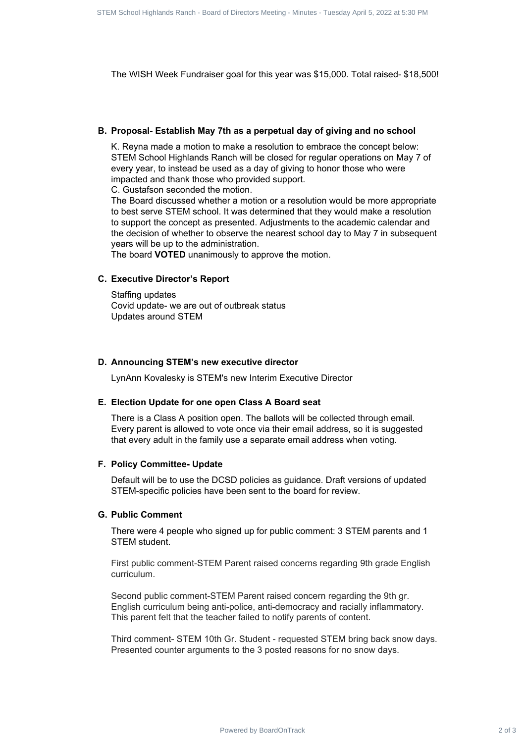The WISH Week Fundraiser goal for this year was \$15,000. Total raised- \$18,500!

#### **B. Proposal- Establish May 7th as a perpetual day of giving and no school**

K. Reyna made a motion to make a resolution to embrace the concept below: STEM School Highlands Ranch will be closed for regular operations on May 7 of every year, to instead be used as a day of giving to honor those who were impacted and thank those who provided support.

C. Gustafson seconded the motion.

The Board discussed whether a motion or a resolution would be more appropriate to best serve STEM school. It was determined that they would make a resolution to support the concept as presented. Adjustments to the academic calendar and the decision of whether to observe the nearest school day to May 7 in subsequent years will be up to the administration. Power Expediant 2 of 3 STEM School Highlands Ranch - Board of 3 STEM School Highlands By the SCHO Highlands Ranch - Board of 3 STEM SCHOOL Highlands Ranch - Board of 3 STEM School Highlands Ranch - Board of Directors Meeti

The board **VOTED** unanimously to approve the motion.

#### **C. Executive Director's Report**

Staffing updates Covid update- we are out of outbreak status Updates around STEM

### **D. Announcing STEM's new executive director**

LynAnn Kovalesky is STEM's new Interim Executive Director

#### **E. Election Update for one open Class A Board seat**

There is a Class A position open. The ballots will be collected through email. Every parent is allowed to vote once via their email address, so it is suggested that every adult in the family use a separate email address when voting.

#### **F. Policy Committee- Update**

Default will be to use the DCSD policies as guidance. Draft versions of updated STEM-specific policies have been sent to the board for review.

### **G. Public Comment**

There were 4 people who signed up for public comment: 3 STEM parents and 1 STEM student.

First public comment-STEM Parent raised concerns regarding 9th grade English curriculum.

Second public comment-STEM Parent raised concern regarding the 9th gr. English curriculum being anti-police, anti-democracy and racially inflammatory. This parent felt that the teacher failed to notify parents of content.

Third comment- STEM 10th Gr. Student - requested STEM bring back snow days. Presented counter arguments to the 3 posted reasons for no snow days.